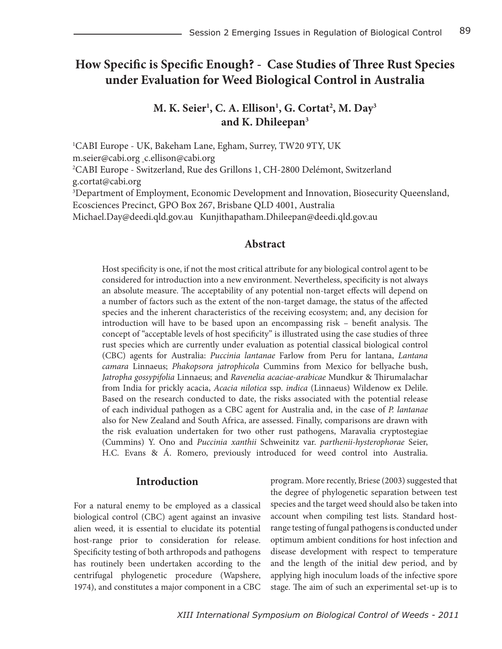# **How Specific is Specific Enough? - Case Studies of Three Rust Species under Evaluation for Weed Biological Control in Australia**

# $M$ . K. Seier<sup>1</sup>, C. A. Ellison<sup>1</sup>, G. Cortat<sup>2</sup>, M. Day<sup>3</sup> **and K. Dhileepan3**

1 CABI Europe - UK, Bakeham Lane, Egham, Surrey, TW20 9TY, UK m.seier@cabi.org\_c.ellison@cabi.org 2 CABI Europe - Switzerland, Rue des Grillons 1, CH-2800 Delémont, Switzerland g.cortat@cabi.org 3 Department of Employment, Economic Development and Innovation, Biosecurity Queensland, Ecosciences Precinct, GPO Box 267, Brisbane QLD 4001, Australia Michael.Day@deedi.qld.gov.au Kunjithapatham.Dhileepan@deedi.qld.gov.au

# **Abstract**

Host specificity is one, if not the most critical attribute for any biological control agent to be considered for introduction into a new environment. Nevertheless, specificity is not always an absolute measure. The acceptability of any potential non-target effects will depend on a number of factors such as the extent of the non-target damage, the status of the affected species and the inherent characteristics of the receiving ecosystem; and, any decision for introduction will have to be based upon an encompassing risk – benefit analysis. The concept of "acceptable levels of host specificity" is illustrated using the case studies of three rust species which are currently under evaluation as potential classical biological control (CBC) agents for Australia: *Puccinia lantanae* Farlow from Peru for lantana, *Lantana camara* Linnaeus; *Phakopsora jatrophicola* Cummins from Mexico for bellyache bush, *Jatropha gossypifolia* Linnaeus; and *Ravenelia acaciae-arabicae* Mundkur & Thirumalachar from India for prickly acacia, *Acacia nilotica* ssp. *indica* (Linnaeus) Wildenow ex Delile. Based on the research conducted to date, the risks associated with the potential release of each individual pathogen as a CBC agent for Australia and, in the case of *P. lantanae* also for New Zealand and South Africa, are assessed. Finally, comparisons are drawn with the risk evaluation undertaken for two other rust pathogens, Maravalia cryptostegiae (Cummins) Y. Ono and *Puccinia xanthii* Schweinitz var. *parthenii-hysterophorae* Seier, H.C. Evans & Á. Romero, previously introduced for weed control into Australia.

# **Introduction**

For a natural enemy to be employed as a classical biological control (CBC) agent against an invasive alien weed, it is essential to elucidate its potential host-range prior to consideration for release. Specificity testing of both arthropods and pathogens has routinely been undertaken according to the centrifugal phylogenetic procedure (Wapshere, 1974), and constitutes a major component in a CBC program. More recently, Briese (2003) suggested that the degree of phylogenetic separation between test species and the target weed should also be taken into account when compiling test lists. Standard hostrange testing of fungal pathogens is conducted under optimum ambient conditions for host infection and disease development with respect to temperature and the length of the initial dew period, and by applying high inoculum loads of the infective spore stage. The aim of such an experimental set-up is to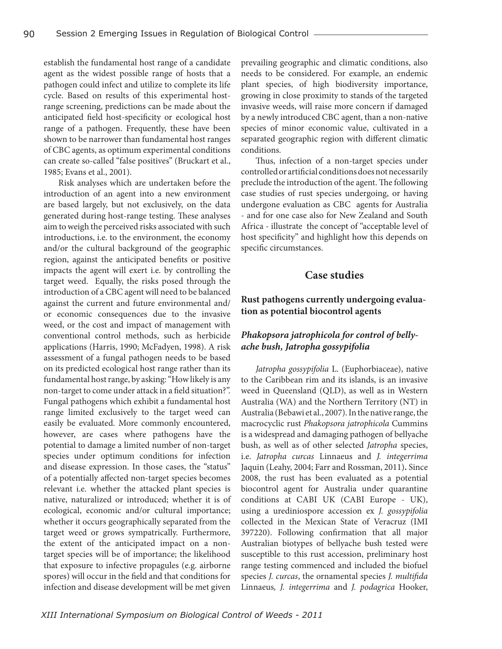establish the fundamental host range of a candidate agent as the widest possible range of hosts that a pathogen could infect and utilize to complete its life cycle. Based on results of this experimental hostrange screening, predictions can be made about the anticipated field host-specificity or ecological host range of a pathogen. Frequently, these have been shown to be narrower than fundamental host ranges of CBC agents, as optimum experimental conditions can create so-called "false positives" (Bruckart et al., 1985; Evans et al., 2001).

Risk analyses which are undertaken before the introduction of an agent into a new environment are based largely, but not exclusively, on the data generated during host-range testing. These analyses aim to weigh the perceived risks associated with such introductions, i.e. to the environment, the economy and/or the cultural background of the geographic region, against the anticipated benefits or positive impacts the agent will exert i.e. by controlling the target weed. Equally, the risks posed through the introduction of a CBC agent will need to be balanced against the current and future environmental and/ or economic consequences due to the invasive weed, or the cost and impact of management with conventional control methods, such as herbicide applications (Harris, 1990; McFadyen, 1998). A risk assessment of a fungal pathogen needs to be based on its predicted ecological host range rather than its fundamental host range, by asking: "How likely is any non-target to come under attack in a field situation?". Fungal pathogens which exhibit a fundamental host range limited exclusively to the target weed can easily be evaluated. More commonly encountered, however, are cases where pathogens have the potential to damage a limited number of non-target species under optimum conditions for infection and disease expression. In those cases, the "status" of a potentially affected non-target species becomes relevant i.e. whether the attacked plant species is native, naturalized or introduced; whether it is of ecological, economic and/or cultural importance; whether it occurs geographically separated from the target weed or grows sympatrically. Furthermore, the extent of the anticipated impact on a nontarget species will be of importance; the likelihood that exposure to infective propagules (e.g. airborne spores) will occur in the field and that conditions for infection and disease development will be met given

prevailing geographic and climatic conditions, also needs to be considered. For example, an endemic plant species, of high biodiversity importance, growing in close proximity to stands of the targeted invasive weeds, will raise more concern if damaged by a newly introduced CBC agent, than a non-native species of minor economic value, cultivated in a separated geographic region with different climatic conditions.

Thus, infection of a non-target species under controlled or artificial conditions does not necessarily preclude the introduction of the agent. The following case studies of rust species undergoing, or having undergone evaluation as CBC agents for Australia - and for one case also for New Zealand and South Africa - illustrate the concept of "acceptable level of host specificity" and highlight how this depends on specific circumstances.

## **Case studies**

## **Rust pathogens currently undergoing evaluation as potential biocontrol agents**

# *Phakopsora jatrophicola for control of bellyache bush, Jatropha gossypifolia*

 *Jatropha gossypifolia* L. (Euphorbiaceae), native to the Caribbean rim and its islands, is an invasive weed in Queensland (QLD), as well as in Western Australia (WA) and the Northern Territory (NT) in Australia (Bebawi et al., 2007). In the native range, the macrocyclic rust *Phakopsora jatrophicola* Cummins is a widespread and damaging pathogen of bellyache bush, as well as of other selected *Jatropha* species, i.e. *Jatropha curcas* Linnaeus and *J. integerrima*  Jaquin (Leahy, 2004; Farr and Rossman, 2011)**.** Since 2008, the rust has been evaluated as a potential biocontrol agent for Australia under quarantine conditions at CABI UK (CABI Europe - UK), using a urediniospore accession ex *J. gossypifolia* collected in the Mexican State of Veracruz (IMI 397220). Following confirmation that all major Australian biotypes of bellyache bush tested were susceptible to this rust accession, preliminary host range testing commenced and included the biofuel species *J. curcas*, the ornamental species *J. multifida*  Linnaeus*, J. integerrima* and *J. podagrica* Hooker,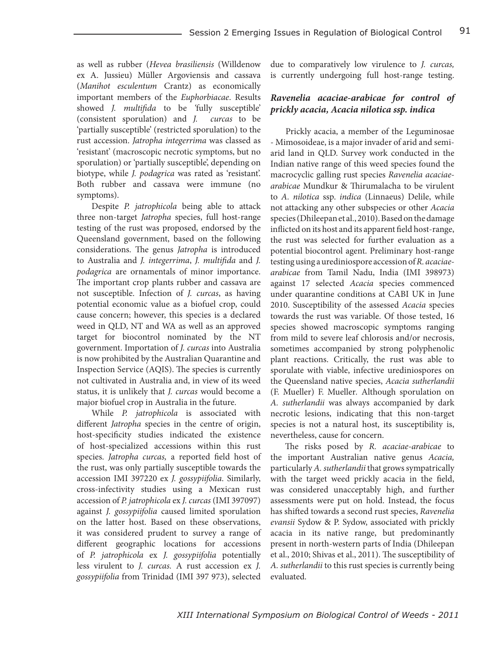as well as rubber (*Hevea brasiliensis* (Willdenow ex A. Jussieu) Müller Argoviensis and cassava (*Manihot esculentum* Crantz) as economically important members of the *Euphorbiacae*. Results showed *J. multifida* to be *'*fully susceptible' (consistent sporulation) and *J. curcas* to be 'partially susceptible' (restricted sporulation) to the rust accession. *Jatropha integerrima* was classed as 'resistant' (macroscopic necrotic symptoms, but no sporulation) or 'partially susceptible', depending on biotype, while *J. podagrica* was rated as 'resistant'. Both rubber and cassava were immune (no symptoms).

Despite *P. jatrophicola* being able to attack three non-target *Jatropha* species, full host-range testing of the rust was proposed, endorsed by the Queensland government, based on the following considerations. The genus *Jatropha* is introduced to Australia and *J. integerrima*, *J. multifida* and *J. podagrica* are ornamentals of minor importance. The important crop plants rubber and cassava are not susceptible. Infection of *J. curcas*, as having potential economic value as a biofuel crop, could cause concern; however, this species is a declared weed in QLD, NT and WA as well as an approved target for biocontrol nominated by the NT government. Importation of *J. curcas* into Australia is now prohibited by the Australian Quarantine and Inspection Service (AQIS). The species is currently not cultivated in Australia and, in view of its weed status, it is unlikely that *J. curcas* would become a major biofuel crop in Australia in the future.

While *P. jatrophicola* is associated with different *Jatropha* species in the centre of origin, host-specificity studies indicated the existence of host-specialized accessions within this rust species. *Jatropha curcas,* a reported field host of the rust, was only partially susceptible towards the accession IMI 397220 ex *J. gossypiifolia*. Similarly, cross-infectivity studies using a Mexican rust accession of *P. jatrophicola* ex *J. curcas* (IMI 397097) against *J. gossypiifolia* caused limited sporulation on the latter host. Based on these observations, it was considered prudent to survey a range of different geographic locations for accessions of *P. jatrophicola* ex *J. gossypiifolia* potentially less virulent to *J. curcas.* A rust accession ex *J. gossypiifolia* from Trinidad (IMI 397 973), selected

due to comparatively low virulence to *J. curcas,* is currently undergoing full host-range testing.

## *Ravenelia acaciae-arabicae for control of prickly acacia, Acacia nilotica ssp. indica*

 Prickly acacia, a member of the Leguminosae - Mimosoideae, is a major invader of arid and semiarid land in QLD. Survey work conducted in the Indian native range of this weed species found the macrocyclic galling rust species *Ravenelia acaciaearabicae* Mundkur & Thirumalacha to be virulent to *A. nilotica* ssp. *indica* (Linnaeus) Delile, while not attacking any other subspecies or other *Acacia* species (Dhileepan et al., 2010). Based on the damage inflicted on its host and its apparent field host-range, the rust was selected for further evaluation as a potential biocontrol agent. Preliminary host-range testing using a urediniospore accession of *R. acaciaearabicae* from Tamil Nadu, India (IMI 398973) against 17 selected *Acacia* species commenced under quarantine conditions at CABI UK in June 2010. Susceptibility of the assessed *Acacia* species towards the rust was variable. Of those tested, 16 species showed macroscopic symptoms ranging from mild to severe leaf chlorosis and/or necrosis, sometimes accompanied by strong polyphenolic plant reactions. Critically, the rust was able to sporulate with viable, infective urediniospores on the Queensland native species, *Acacia sutherlandii*  (F. Mueller) F. Mueller*.* Although sporulation on *A. sutherlandii* was always accompanied by dark necrotic lesions, indicating that this non-target species is not a natural host, its susceptibility is, nevertheless, cause for concern.

The risks posed by *R. acaciae-arabicae* to the important Australian native genus *Acacia,*  particularly *A. sutherlandii* that grows sympatrically with the target weed prickly acacia in the field, was considered unacceptably high, and further assessments were put on hold. Instead, the focus has shifted towards a second rust species, *Ravenelia evansii* Sydow & P. Sydow, associated with prickly acacia in its native range, but predominantly present in north-western parts of India (Dhileepan et al., 2010; Shivas et al., 2011). The susceptibility of *A. sutherlandii* to this rust species is currently being evaluated.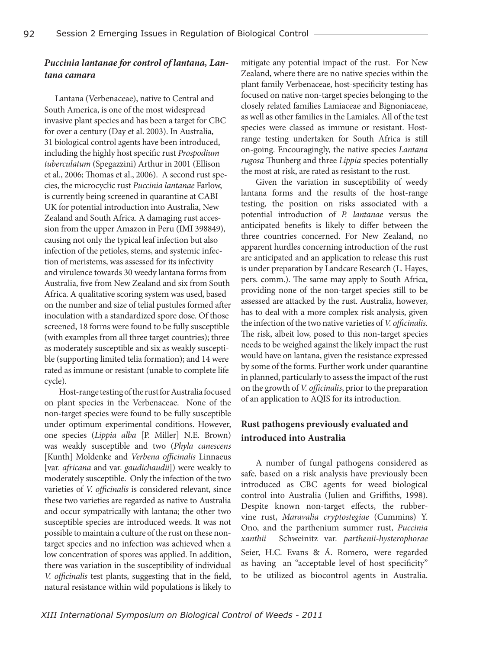# *Puccinia lantanae for control of lantana, Lantana camara*

Lantana (Verbenaceae), native to Central and South America, is one of the most widespread invasive plant species and has been a target for CBC for over a century (Day et al. 2003). In Australia, 31 biological control agents have been introduced, including the highly host specific rust *Prospodium tuberculatum* (Spegazzini) Arthur in 2001 (Ellison et al., 2006; Thomas et al., 2006). A second rust species, the microcyclic rust *Puccinia lantanae* Farlow, is currently being screened in quarantine at CABI UK for potential introduction into Australia, New Zealand and South Africa. A damaging rust accession from the upper Amazon in Peru (IMI 398849), causing not only the typical leaf infection but also infection of the petioles, stems, and systemic infection of meristems, was assessed for its infectivity and virulence towards 30 weedy lantana forms from Australia, five from New Zealand and six from South Africa. A qualitative scoring system was used, based on the number and size of telial pustules formed after inoculation with a standardized spore dose. Of those screened, 18 forms were found to be fully susceptible (with examples from all three target countries); three as moderately susceptible and six as weakly susceptible (supporting limited telia formation); and 14 were rated as immune or resistant (unable to complete life cycle).

Host-range testing of the rust for Australia focused on plant species in the Verbenaceae. None of the non-target species were found to be fully susceptible under optimum experimental conditions. However, one species (*Lippia alba* [P. Miller] N.E. Brown) was weakly susceptible and two (*Phyla canescens* [Kunth] Moldenke and *Verbena officinalis* Linnaeus [var. *africana* and var. *gaudichaudii*]) were weakly to moderately susceptible. Only the infection of the two varieties of *V. officinalis* is considered relevant, since these two varieties are regarded as native to Australia and occur sympatrically with lantana; the other two susceptible species are introduced weeds. It was not possible to maintain a culture of the rust on these nontarget species and no infection was achieved when a low concentration of spores was applied. In addition, there was variation in the susceptibility of individual *V. officinalis* test plants, suggesting that in the field, natural resistance within wild populations is likely to

mitigate any potential impact of the rust. For New Zealand, where there are no native species within the plant family Verbenaceae, host-specificity testing has focused on native non-target species belonging to the closely related families Lamiaceae and Bignoniaceae, as well as other families in the Lamiales. All of the test species were classed as immune or resistant. Hostrange testing undertaken for South Africa is still on-going. Encouragingly, the native species *Lantana rugosa* Thunberg and three *Lippia* species potentially the most at risk, are rated as resistant to the rust.

Given the variation in susceptibility of weedy lantana forms and the results of the host-range testing, the position on risks associated with a potential introduction of *P. lantanae* versus the anticipated benefits is likely to differ between the three countries concerned. For New Zealand, no apparent hurdles concerning introduction of the rust are anticipated and an application to release this rust is under preparation by Landcare Research (L. Hayes, pers. comm.). The same may apply to South Africa, providing none of the non-target species still to be assessed are attacked by the rust. Australia, however, has to deal with a more complex risk analysis, given the infection of the two native varieties of *V. officinalis.* The risk, albeit low, posed to this non-target species needs to be weighed against the likely impact the rust would have on lantana, given the resistance expressed by some of the forms. Further work under quarantine in planned, particularly to assess the impact of the rust on the growth of *V. officinalis*, prior to the preparation of an application to AQIS for its introduction.

# **Rust pathogens previously evaluated and introduced into Australia**

A number of fungal pathogens considered as safe, based on a risk analysis have previously been introduced as CBC agents for weed biological control into Australia (Julien and Griffiths, 1998). Despite known non-target effects, the rubbervine rust, *Maravalia cryptostegiae* (Cummins) Y. Ono, and the parthenium summer rust, *Puccinia xanthii* Schweinitz var. *parthenii-hysterophorae* Seier, H.C. Evans & Á. Romero, were regarded as having an "acceptable level of host specificity" to be utilized as biocontrol agents in Australia.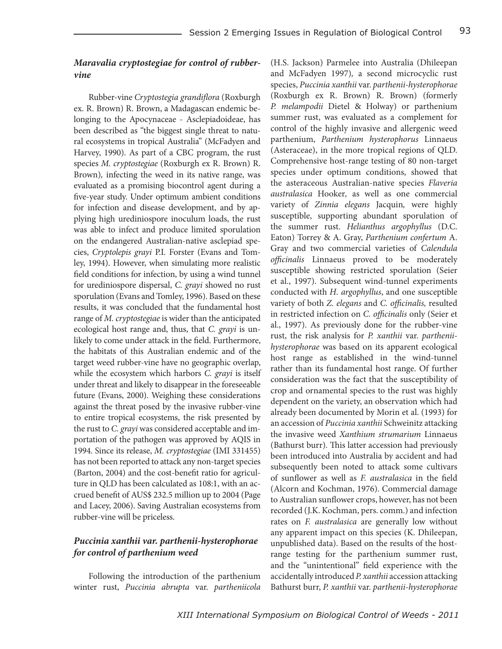# *Maravalia cryptostegiae for control of rubbervine*

Rubber-vine *Cryptostegia grandiflora* (Roxburgh ex. R. Brown) R. Brown, a Madagascan endemic belonging to the Apocynaceae - Asclepiadoideae, has been described as "the biggest single threat to natural ecosystems in tropical Australia" (McFadyen and Harvey, 1990). As part of a CBC program, the rust species *M. cryptostegiae* (Roxburgh ex R. Brown) R. Brown)*,* infecting the weed in its native range, was evaluated as a promising biocontrol agent during a five-year study. Under optimum ambient conditions for infection and disease development, and by applying high urediniospore inoculum loads, the rust was able to infect and produce limited sporulation on the endangered Australian-native asclepiad species, *Cryptolepis grayi* P.I. Forster (Evans and Tomley, 1994). However, when simulating more realistic field conditions for infection, by using a wind tunnel for urediniospore dispersal, *C. grayi* showed no rust sporulation (Evans and Tomley, 1996). Based on these results, it was concluded that the fundamental host range of *M. cryptostegiae* is wider than the anticipated ecological host range and, thus, that *C. grayi* is unlikely to come under attack in the field. Furthermore, the habitats of this Australian endemic and of the target weed rubber-vine have no geographic overlap, while the ecosystem which harbors *C. grayi* is itself under threat and likely to disappear in the foreseeable future (Evans, 2000). Weighing these considerations against the threat posed by the invasive rubber-vine to entire tropical ecosystems, the risk presented by the rust to *C. grayi* was considered acceptable and importation of the pathogen was approved by AQIS in 1994. Since its release, *M. cryptostegiae* (IMI 331455) has not been reported to attack any non-target species (Barton, 2004) and the cost-benefit ratio for agriculture in QLD has been calculated as 108:1, with an accrued benefit of AUS\$ 232.5 million up to 2004 (Page and Lacey, 2006). Saving Australian ecosystems from rubber-vine will be priceless.

# *Puccinia xanthii var. parthenii-hysterophorae for control of parthenium weed*

Following the introduction of the parthenium winter rust, *Puccinia abrupta* var. *partheniicola*  (H.S. Jackson) Parmelee into Australia (Dhileepan and McFadyen 1997)*,* a second microcyclic rust species, *Puccinia xanthii* var. *parthenii-hysterophorae*  (Roxburgh ex R. Brown) R. Brown) (formerly *P. melampodii* Dietel & Holway) or parthenium summer rust, was evaluated as a complement for control of the highly invasive and allergenic weed parthenium, *Parthenium hysterophorus* Linnaeus (Asteraceae), in the more tropical regions of QLD. Comprehensive host-range testing of 80 non-target species under optimum conditions, showed that the asteraceous Australian-native species *Flaveria australasica* Hooker*,* as well as one commercial variety of *Zinnia elegans* Jacquin*,* were highly susceptible, supporting abundant sporulation of the summer rust. *Helianthus argophyllus* (D.C. Eaton) Torrey & A. Gray, *Parthenium confertum* A. Gray and two commercial varieties of *Calendula officinalis* Linnaeus proved to be moderately susceptible showing restricted sporulation (Seier et al., 1997). Subsequent wind-tunnel experiments conducted with *H. argophyllus*, and one susceptible variety of both *Z. elegans* and *C. officinalis,* resulted in restricted infection on *C. officinalis* only (Seier et al., 1997). As previously done for the rubber-vine rust, the risk analysis for *P. xanthii* var. *partheniihysterophorae* was based on its apparent ecological host range as established in the wind-tunnel rather than its fundamental host range. Of further consideration was the fact that the susceptibility of crop and ornamental species to the rust was highly dependent on the variety, an observation which had already been documented by Morin et al. (1993) for an accession of *Puccinia xanthii* Schweinitz attacking the invasive weed *Xanthium strumarium* Linnaeus (Bathurst burr)*.* This latter accession had previously been introduced into Australia by accident and had subsequently been noted to attack some cultivars of sunflower as well as *F. australasica* in the field (Alcorn and Kochman, 1976). Commercial damage to Australian sunflower crops, however, has not been recorded (J.K. Kochman, pers. comm.) and infection rates on *F. australasica* are generally low without any apparent impact on this species (K. Dhileepan, unpublished data). Based on the results of the hostrange testing for the parthenium summer rust, and the "unintentional" field experience with the accidentally introduced *P. xanthii* accession attacking Bathurst burr, *P. xanthii* var. *parthenii-hysterophorae*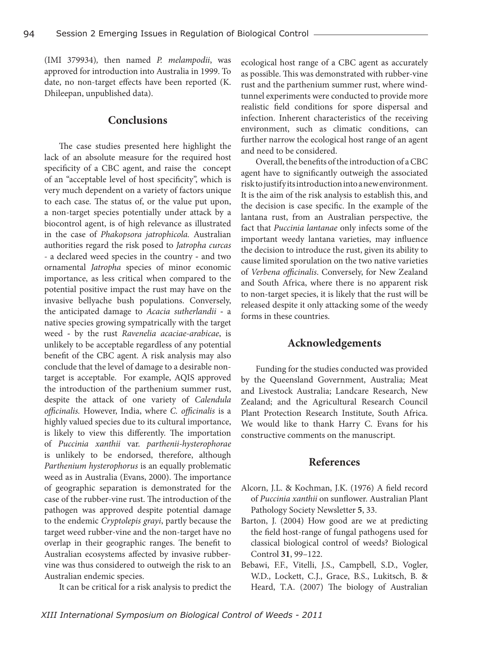(IMI 379934)*,* then named *P. melampodii*, was approved for introduction into Australia in 1999. To date, no non-target effects have been reported (K. Dhileepan, unpublished data).

#### **Conclusions**

The case studies presented here highlight the lack of an absolute measure for the required host specificity of a CBC agent, and raise the concept of an "acceptable level of host specificity", which is very much dependent on a variety of factors unique to each case. The status of, or the value put upon, a non-target species potentially under attack by a biocontrol agent, is of high relevance as illustrated in the case of *Phakopsora jatrophicola.* Australian authorities regard the risk posed to *Jatropha curcas -* a declared weed species in the country **-** and two ornamental *Jatropha* species of minor economic importance, as less critical when compared to the potential positive impact the rust may have on the invasive bellyache bush populations. Conversely, the anticipated damage to *Acacia sutherlandii* **-** a native species growing sympatrically with the target weed **-** by the rust *Ravenelia acaciae-arabicae*, is unlikely to be acceptable regardless of any potential benefit of the CBC agent. A risk analysis may also conclude that the level of damage to a desirable nontarget is acceptable. For example, AQIS approved the introduction of the parthenium summer rust, despite the attack of one variety of *Calendula officinalis.* However, India, where *C. officinalis* is a highly valued species due to its cultural importance, is likely to view this differently. The importation of *Puccinia xanthii* var. *parthenii-hysterophorae* is unlikely to be endorsed, therefore, although *Parthenium hysterophorus* is an equally problematic weed as in Australia (Evans, 2000). The importance of geographic separation is demonstrated for the case of the rubber-vine rust. The introduction of the pathogen was approved despite potential damage to the endemic *Cryptolepis grayi*, partly because the target weed rubber-vine and the non-target have no overlap in their geographic ranges. The benefit to Australian ecosystems affected by invasive rubbervine was thus considered to outweigh the risk to an Australian endemic species.

It can be critical for a risk analysis to predict the

ecological host range of a CBC agent as accurately as possible. This was demonstrated with rubber-vine rust and the parthenium summer rust, where windtunnel experiments were conducted to provide more realistic field conditions for spore dispersal and infection. Inherent characteristics of the receiving environment, such as climatic conditions, can further narrow the ecological host range of an agent and need to be considered.

Overall, the benefits of the introduction of a CBC agent have to significantly outweigh the associated risk to justify its introduction into a new environment. It is the aim of the risk analysis to establish this, and the decision is case specific. In the example of the lantana rust, from an Australian perspective, the fact that *Puccinia lantanae* only infects some of the important weedy lantana varieties, may influence the decision to introduce the rust, given its ability to cause limited sporulation on the two native varieties of *Verbena officinalis*. Conversely, for New Zealand and South Africa, where there is no apparent risk to non-target species, it is likely that the rust will be released despite it only attacking some of the weedy forms in these countries.

#### **Acknowledgements**

Funding for the studies conducted was provided by the Queensland Government, Australia; Meat and Livestock Australia; Landcare Research, New Zealand; and the Agricultural Research Council Plant Protection Research Institute, South Africa. We would like to thank Harry C. Evans for his constructive comments on the manuscript.

### **References**

- Alcorn, J.L. & Kochman, J.K. (1976) A field record of *Puccinia xanthii* on sunflower. Australian Plant Pathology Society Newsletter **5**, 33.
- Barton, J. (2004) How good are we at predicting the field host-range of fungal pathogens used for classical biological control of weeds? Biological Control **31**, 99–122.
- Bebawi, F.F., Vitelli, J.S., Campbell, S.D., Vogler, W.D., Lockett, C.J., Grace, B.S., Lukitsch, B. & Heard, T.A. (2007) The biology of Australian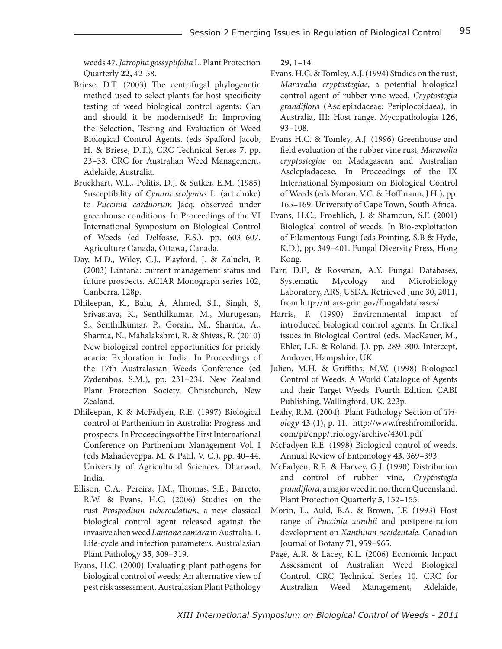weeds 47. *Jatropha gossypiifolia* L. Plant Protection Quarterly **22,** 42-58.

- Briese, D.T. (2003) The centrifugal phylogenetic method used to select plants for host-specificity testing of weed biological control agents: Can and should it be modernised? In Improving the Selection, Testing and Evaluation of Weed Biological Control Agents. (eds Spafford Jacob, H. & Briese, D.T.), CRC Technical Series **7**, pp. 23–33. CRC for Australian Weed Management, Adelaide, Australia.
- Bruckhart, W.L., Politis, D.J. & Sutker, E.M. (1985) Susceptibility of *Cynara scolymus* L. (artichoke) to *Puccinia carduorum* Jacq. observed under greenhouse conditions. In Proceedings of the VI International Symposium on Biological Control of Weeds (ed Delfosse, E.S.), pp. 603–607. Agriculture Canada, Ottawa, Canada.
- Day, M.D., Wiley, C.J., Playford, J. & Zalucki, P. (2003) Lantana: current management status and future prospects. ACIAR Monograph series 102, Canberra. 128p.
- Dhileepan, K., Balu, A, Ahmed, S.I., Singh, S, Srivastava, K., Senthilkumar, M., Murugesan, S., Senthilkumar, P., Gorain, M., Sharma, A., Sharma, N., Mahalakshmi, R. & Shivas, R. (2010) New biological control opportunities for prickly acacia: Exploration in India. In Proceedings of the 17th Australasian Weeds Conference (ed Zydembos, S.M.), pp. 231–234. New Zealand Plant Protection Society, Christchurch, New Zealand.
- Dhileepan, K & McFadyen, R.E. (1997) Biological control of Parthenium in Australia: Progress and prospects. In Proceedings of the First International Conference on Parthenium Management Vol. I (eds Mahadeveppa, M. & Patil, V. C.), pp. 40–44. University of Agricultural Sciences, Dharwad, India.
- Ellison, C.A., Pereira, J.M., Thomas, S.E., Barreto, R.W. & Evans, H.C. (2006) Studies on the rust *Prospodium tuberculatum*, a new classical biological control agent released against the invasive alien weed *Lantana camara* in Australia. 1. Life-cycle and infection parameters. Australasian Plant Pathology **35**, 309–319.
- Evans, H.C. (2000) Evaluating plant pathogens for biological control of weeds: An alternative view of pest risk assessment. Australasian Plant Pathology

**29**, 1–14.

- Evans, H.C. & Tomley, A.J. (1994) Studies on the rust, *Maravalia cryptostegiae*, a potential biological control agent of rubber-vine weed, *Cryptostegia grandiflora* (Asclepiadaceae: Periplocoidaea), in Australia, III: Host range. Mycopathologia **126,**  93–108.
- Evans H.C. & Tomley, A.J. (1996) Greenhouse and field evaluation of the rubber vine rust, *Maravalia cryptostegiae* on Madagascan and Australian Asclepiadaceae. In Proceedings of the IX International Symposium on Biological Control of Weeds (eds Moran, V.C. & Hoffmann, J.H.), pp. 165–169. University of Cape Town, South Africa.
- Evans, H.C., Froehlich, J. & Shamoun, S.F. (2001) Biological control of weeds. In Bio-exploitation of Filamentous Fungi (eds Pointing, S.B & Hyde, K.D.), pp. 349–401. Fungal Diversity Press, Hong Kong.
- Farr, D.F., & Rossman, A.Y. Fungal Databases, Systematic Mycology and Microbiology Laboratory, ARS, USDA. Retrieved June 30, 2011, from http://nt.ars-grin.gov/fungaldatabases/
- Harris, P. (1990) Environmental impact of introduced biological control agents. In Critical issues in Biological Control (eds. MacKauer, M., Ehler, L.E. & Roland, J.), pp. 289–300. Intercept, Andover, Hampshire, UK.
- Julien, M.H. & Griffiths, M.W. (1998) Biological Control of Weeds. A World Catalogue of Agents and their Target Weeds. Fourth Edition. CABI Publishing, Wallingford, UK. 223p.
- Leahy, R.M. (2004). Plant Pathology Section of *Triology* **43** (1), p. 11. http://www.freshfromflorida. com/pi/enpp/triology/archive/4301.pdf
- McFadyen R.E. (1998) Biological control of weeds. Annual Review of Entomology **43**, 369–393.
- McFadyen, R.E. & Harvey, G.J. (1990) Distribution and control of rubber vine, *Cryptostegia grandiflora*, a major weed in northern Queensland. Plant Protection Quarterly **5**, 152–155.
- Morin, L., Auld, B.A. & Brown, J.F. (1993) Host range of *Puccinia xanthii* and postpenetration development on *Xanthium occidentale*. Canadian Journal of Botany **71**, 959–965.
- Page, A.R. & Lacey, K.L. (2006) Economic Impact Assessment of Australian Weed Biological Control. CRC Technical Series 10. CRC for Australian Weed Management, Adelaide,